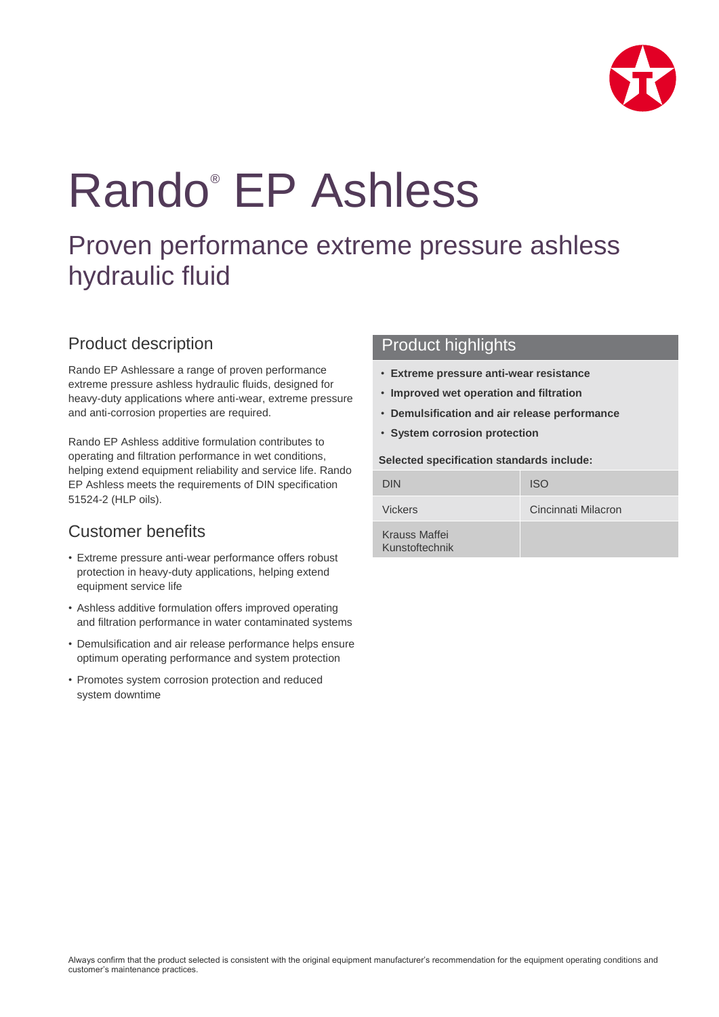

# Rando® EP Ashless

## Proven performance extreme pressure ashless hydraulic fluid

## Product description

Rando EP Ashlessare a range of proven performance extreme pressure ashless hydraulic fluids, designed for heavy-duty applications where anti-wear, extreme pressure and anti-corrosion properties are required.

Rando EP Ashless additive formulation contributes to operating and filtration performance in wet conditions, helping extend equipment reliability and service life. Rando EP Ashless meets the requirements of DIN specification 51524-2 (HLP oils).

## Customer benefits

- Extreme pressure anti-wear performance offers robust protection in heavy-duty applications, helping extend equipment service life
- Ashless additive formulation offers improved operating and filtration performance in water contaminated systems
- Demulsification and air release performance helps ensure optimum operating performance and system protection
- Promotes system corrosion protection and reduced system downtime

### Product highlights

- **Extreme pressure anti-wear resistance**
- **Improved wet operation and filtration**
- **Demulsification and air release performance**
- **System corrosion protection**

#### **Selected specification standards include:**

| <b>DIN</b>                      | <b>ISO</b>          |
|---------------------------------|---------------------|
| <b>Vickers</b>                  | Cincinnati Milacron |
| Krauss Maffei<br>Kunstoftechnik |                     |